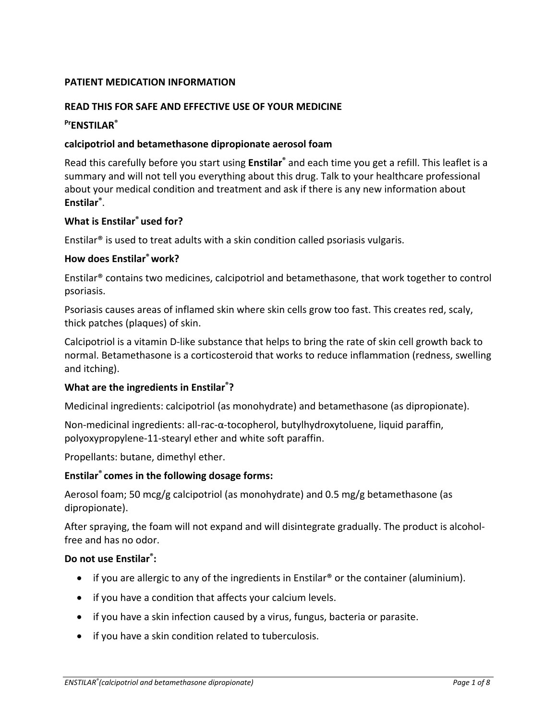## **PATIENT MEDICATION INFORMATION**

#### **READ THIS FOR SAFE AND EFFECTIVE USE OF YOUR MEDICINE**

# **Pr ENSTILAR®**

### **calcipotriol and betamethasone dipropionate aerosol foam**

Read this carefully before you start using **Enstilar®** and each time you get a refill. This leaflet is a summary and will not tell you everything about this drug. Talk to your healthcare professional about your medical condition and treatment and ask if there is any new information about **Enstilar®** .

### **What is Enstilar® used for?**

Enstilar® is used to treat adults with a skin condition called psoriasis vulgaris.

## **How does Enstilar® work?**

Enstilar® contains two medicines, calcipotriol and betamethasone, that work together to control psoriasis.

Psoriasis causes areas of inflamed skin where skin cells grow too fast. This creates red, scaly, thick patches (plaques) of skin.

Calcipotriol is a vitamin D-like substance that helps to bring the rate of skin cell growth back to normal. Betamethasone is a corticosteroid that works to reduce inflammation (redness, swelling and itching).

#### **What are the ingredients in Enstilar®?**

Medicinal ingredients: calcipotriol (as monohydrate) and betamethasone (as dipropionate).

Non-medicinal ingredients: all-rac-α-tocopherol, butylhydroxytoluene, liquid paraffin, polyoxypropylene-11-stearyl ether and white soft paraffin.

Propellants: butane, dimethyl ether.

#### **Enstilar® comes in the following dosage forms:**

Aerosol foam; 50 mcg/g calcipotriol (as monohydrate) and 0.5 mg/g betamethasone (as dipropionate).

After spraying, the foam will not expand and will disintegrate gradually. The product is alcoholfree and has no odor.

#### **Do not use Enstilar®:**

- if you are allergic to any of the ingredients in Enstilar® or the container (aluminium).
- if you have a condition that affects your calcium levels.
- if you have a skin infection caused by a virus, fungus, bacteria or parasite.
- if you have a skin condition related to tuberculosis.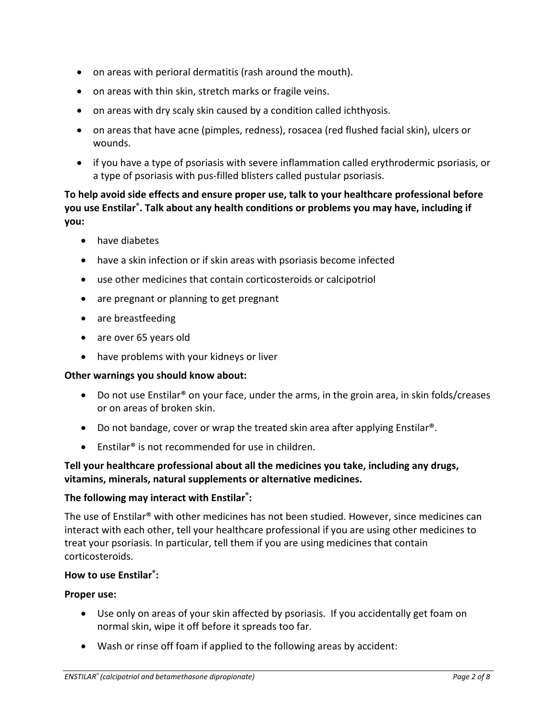- on areas with perioral dermatitis (rash around the mouth).
- on areas with thin skin, stretch marks or fragile veins.
- on areas with dry scaly skin caused by a condition called ichthyosis.
- on areas that have acne (pimples, redness), rosacea (red flushed facial skin), ulcers or wounds.
- if you have a type of psoriasis with severe inflammation called erythrodermic psoriasis, or a type of psoriasis with pus-filled blisters called pustular psoriasis.

# **To help avoid side effects and ensure proper use, talk to your healthcare professional before you use Enstilar®. Talk about any health conditions or problems you may have, including if you:**

- have diabetes
- have a skin infection or if skin areas with psoriasis become infected
- use other medicines that contain corticosteroids or calcipotriol
- are pregnant or planning to get pregnant
- are breastfeeding
- are over 65 years old
- have problems with your kidneys or liver

# **Other warnings you should know about:**

- Do not use Enstilar® on your face, under the arms, in the groin area, in skin folds/creases or on areas of broken skin.
- Do not bandage, cover or wrap the treated skin area after applying Enstilar®.
- Enstilar<sup>®</sup> is not recommended for use in children.

# **Tell your healthcare professional about all the medicines you take, including any drugs, vitamins, minerals, natural supplements or alternative medicines.**

# **The following may interact with Enstilar® :**

The use of Enstilar® with other medicines has not been studied. However, since medicines can interact with each other, tell your healthcare professional if you are using other medicines to treat your psoriasis. In particular, tell them if you are using medicines that contain corticosteroids.

# **How to use Enstilar®:**

#### **Proper use:**

- Use only on areas of your skin affected by psoriasis. If you accidentally get foam on normal skin, wipe it off before it spreads too far.
- Wash or rinse off foam if applied to the following areas by accident: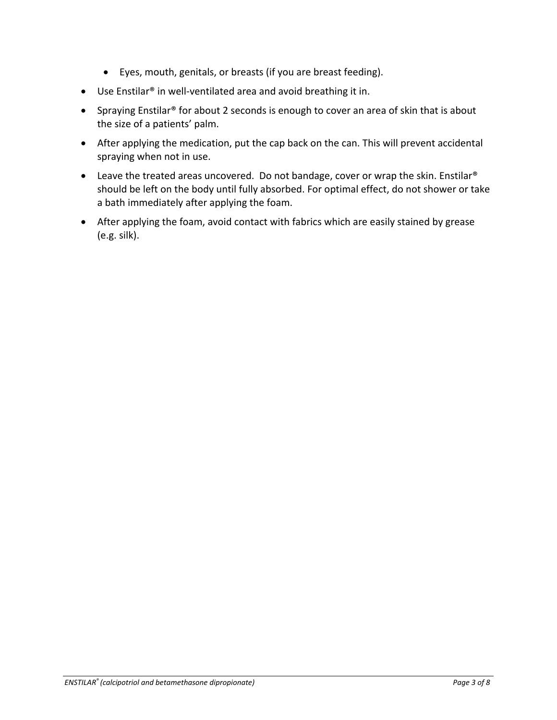- Eyes, mouth, genitals, or breasts (if you are breast feeding).
- Use Enstilar® in well-ventilated area and avoid breathing it in.
- Spraying Enstilar® for about 2 seconds is enough to cover an area of skin that is about the size of a patients' palm.
- After applying the medication, put the cap back on the can. This will prevent accidental spraying when not in use.
- Leave the treated areas uncovered. Do not bandage, cover or wrap the skin. Enstilar<sup>®</sup> should be left on the body until fully absorbed. For optimal effect, do not shower or take a bath immediately after applying the foam.
- After applying the foam, avoid contact with fabrics which are easily stained by grease (e.g. silk).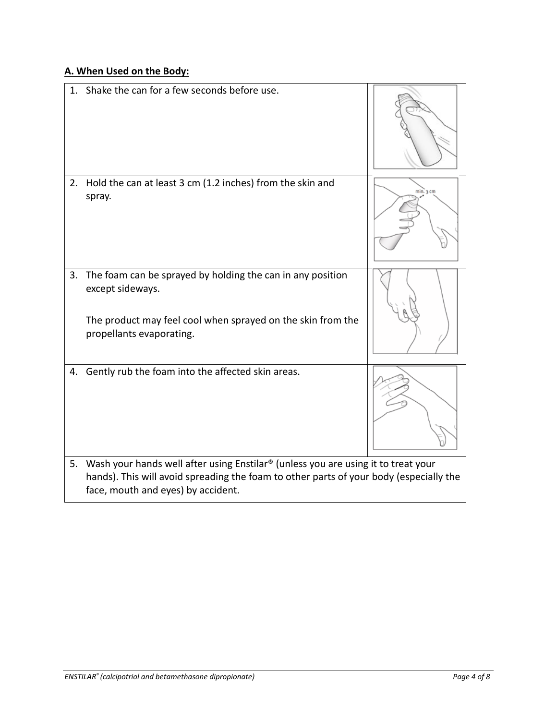# **A. When Used on the Body:**

| 1. | Shake the can for a few seconds before use.                                                                                                                                                                       |          |
|----|-------------------------------------------------------------------------------------------------------------------------------------------------------------------------------------------------------------------|----------|
|    |                                                                                                                                                                                                                   |          |
| 2. | Hold the can at least 3 cm (1.2 inches) from the skin and<br>spray.                                                                                                                                               | min.3 cm |
|    | 3. The foam can be sprayed by holding the can in any position<br>except sideways.                                                                                                                                 |          |
|    | The product may feel cool when sprayed on the skin from the<br>propellants evaporating.                                                                                                                           |          |
| 4. | Gently rub the foam into the affected skin areas.                                                                                                                                                                 |          |
| 5. | Wash your hands well after using Enstilar® (unless you are using it to treat your<br>hands). This will avoid spreading the foam to other parts of your body (especially the<br>face, mouth and eyes) by accident. |          |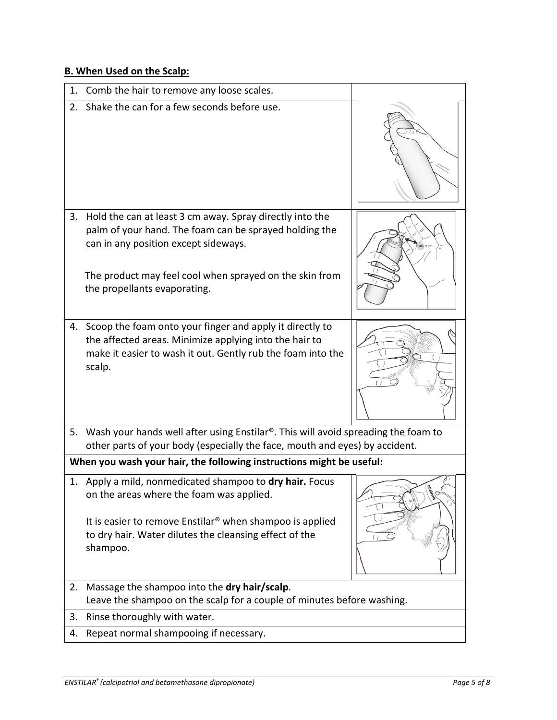## **B. When Used on the Scalp:**

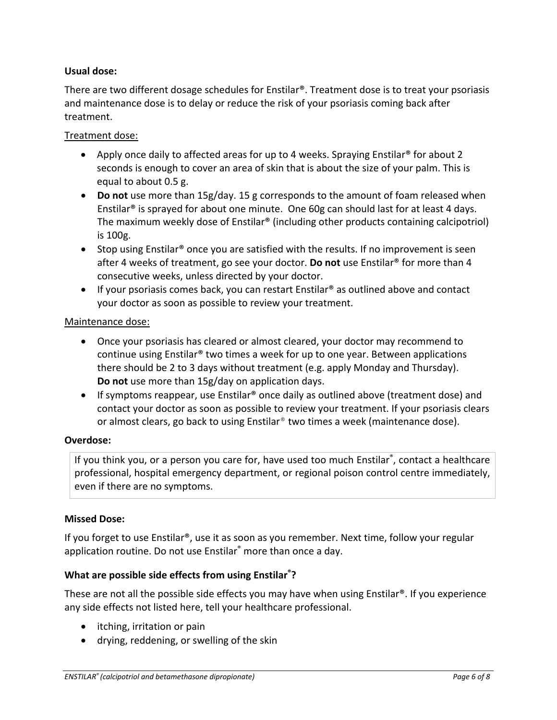## **Usual dose:**

There are two different dosage schedules for Enstilar®. Treatment dose is to treat your psoriasis and maintenance dose is to delay or reduce the risk of your psoriasis coming back after treatment.

### Treatment dose:

- Apply once daily to affected areas for up to 4 weeks. Spraying Enstilar® for about 2 seconds is enough to cover an area of skin that is about the size of your palm. This is equal to about 0.5 g.
- **Do not** use more than 15g/day. 15 g corresponds to the amount of foam released when Enstilar<sup>®</sup> is sprayed for about one minute. One 60g can should last for at least 4 days. The maximum weekly dose of Enstilar® (including other products containing calcipotriol) is 100g.
- Stop using Enstilar® once you are satisfied with the results. If no improvement is seen after 4 weeks of treatment, go see your doctor. **Do not** use Enstilar® for more than 4 consecutive weeks, unless directed by your doctor.
- If your psoriasis comes back, you can restart Enstilar® as outlined above and contact your doctor as soon as possible to review your treatment.

## Maintenance dose:

- Once your psoriasis has cleared or almost cleared, your doctor may recommend to continue using Enstilar® two times a week for up to one year. Between applications there should be 2 to 3 days without treatment (e.g. apply Monday and Thursday). **Do not** use more than 15g/day on application days.
- If symptoms reappear, use Enstilar® once daily as outlined above (treatment dose) and contact your doctor as soon as possible to review your treatment. If your psoriasis clears or almost clears, go back to using Enstilar® two times a week (maintenance dose).

#### **Overdose:**

If you think you, or a person you care for, have used too much Enstilar®, contact a healthcare professional, hospital emergency department, or regional poison control centre immediately, even if there are no symptoms.

#### **Missed Dose:**

If you forget to use Enstilar®, use it as soon as you remember. Next time, follow your regular application routine. Do not use Enstilar® more than once a day.

# **What are possible side effects from using Enstilar® ?**

These are not all the possible side effects you may have when using Enstilar®. If you experience any side effects not listed here, tell your healthcare professional.

- itching, irritation or pain
- drying, reddening, or swelling of the skin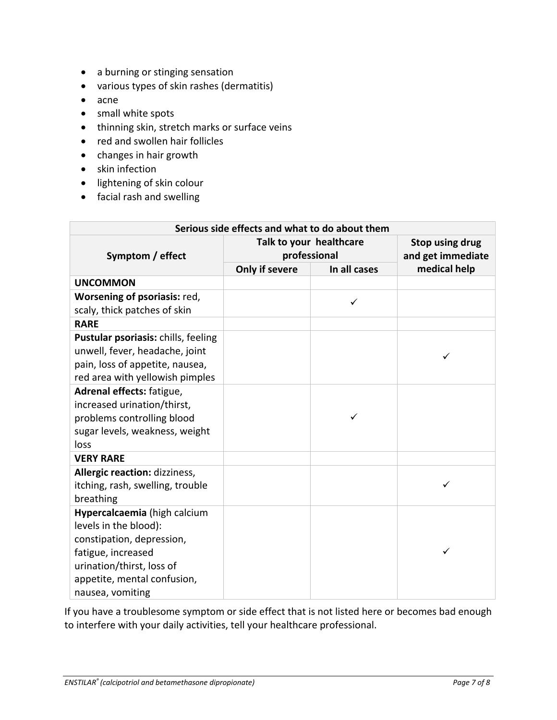- a burning or stinging sensation
- various types of skin rashes (dermatitis)
- acne
- small white spots
- thinning skin, stretch marks or surface veins
- red and swollen hair follicles
- changes in hair growth
- skin infection
- lightening of skin colour
- facial rash and swelling

| Serious side effects and what to do about them                                                                                                                                           |                                         |              |                                      |  |  |
|------------------------------------------------------------------------------------------------------------------------------------------------------------------------------------------|-----------------------------------------|--------------|--------------------------------------|--|--|
| Symptom / effect                                                                                                                                                                         | Talk to your healthcare<br>professional |              | Stop using drug<br>and get immediate |  |  |
|                                                                                                                                                                                          | Only if severe                          | In all cases | medical help                         |  |  |
| <b>UNCOMMON</b>                                                                                                                                                                          |                                         |              |                                      |  |  |
| Worsening of psoriasis: red,<br>scaly, thick patches of skin                                                                                                                             |                                         | ✓            |                                      |  |  |
| <b>RARE</b>                                                                                                                                                                              |                                         |              |                                      |  |  |
| Pustular psoriasis: chills, feeling<br>unwell, fever, headache, joint<br>pain, loss of appetite, nausea,<br>red area with yellowish pimples                                              |                                         |              | ✓                                    |  |  |
| Adrenal effects: fatigue,<br>increased urination/thirst,<br>problems controlling blood<br>sugar levels, weakness, weight<br>loss                                                         |                                         |              |                                      |  |  |
| <b>VERY RARE</b>                                                                                                                                                                         |                                         |              |                                      |  |  |
| Allergic reaction: dizziness,<br>itching, rash, swelling, trouble<br>breathing                                                                                                           |                                         |              | ✓                                    |  |  |
| Hypercalcaemia (high calcium<br>levels in the blood):<br>constipation, depression,<br>fatigue, increased<br>urination/thirst, loss of<br>appetite, mental confusion,<br>nausea, vomiting |                                         |              | ✓                                    |  |  |

If you have a troublesome symptom or side effect that is not listed here or becomes bad enough to interfere with your daily activities, tell your healthcare professional.